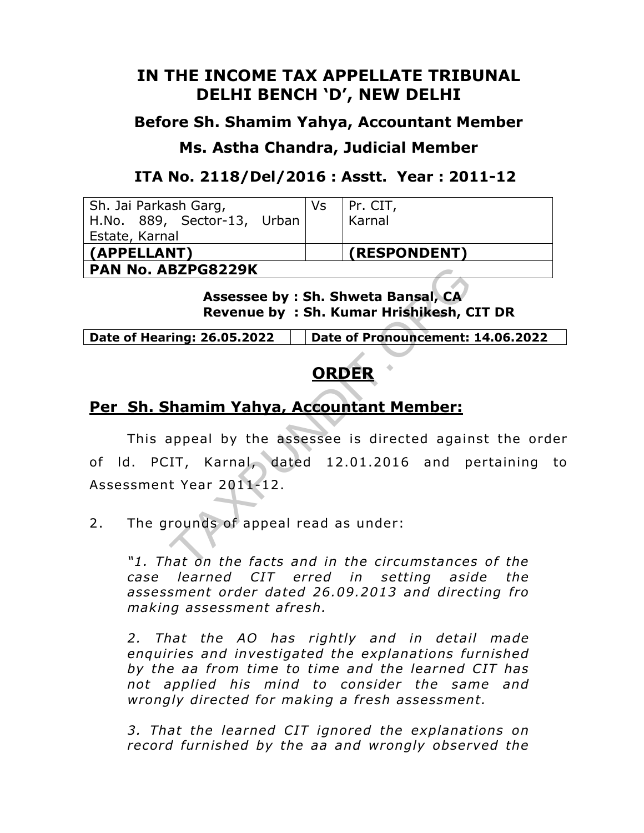# **IN THE INCOME TAX APPELLATE TRIBUNAL DELHI BENCH 'D', NEW DELHI**

### **Before Sh. Shamim Yahya, Accountant Member**

## **Ms. Astha Chandra, Judicial Member**

## **ITA No. 2118/Del/2016 : Asstt. Year : 2011-12**

| Sh. Jai Parkash Garg,<br>Vs |  | Pr. CIT,     |
|-----------------------------|--|--------------|
| H.No. 889, Sector-13, Urban |  | Karnal       |
| Estate, Karnal              |  |              |
| (APPELLANT)                 |  | (RESPONDENT) |
| <b>PAN No. ABZPG8229K</b>   |  |              |

**Assessee by : Sh. Shweta Bansal, Revenue by : Sh. Kumar Hrishikesh, CIT DR**

**Date of Hearing: 26.05.2022 Date of Pronouncement: 14.06.2022**

# **ORDER**

# **Per Sh. Shamim Yahya, Accountant Member:**

This appeal by the assessee is directed against the order of Id. PCIT, Karnal, dated 12.01.2016 and pertaining to Assessment Year 2011-12. **BZPG8229K**<br> **Assessee by : Sh. Shweta Bansal, CA**<br> **Revenue by : Sh. Kumar Hrishikesh, C**<br> **CRDER**<br> **CRDER**<br> **CRDER**<br> **CRDER**<br> **CRDER**<br> **CRDER**<br> **CRDER**<br> **CRDER**<br> **CRDER**<br> **CRDER**<br> **CRDER**<br> **CRDER**<br> **CRDER**<br> **CRDER**<br> **CRD** 

2. The grounds of appeal read as under:

*"1. That on the facts and in the circumstances of the case learned CIT erred in setting aside the assessment order dated 26.09 .2013 and directing fro making assessment a fresh.* 

*2. That the AO has rightly and in detail made enquiries and investigated the explanations furnished by the aa from time to time and the learned CIT has not applied his mind to consider the same and wrongly directed for making a fresh assessment.* 

*3. That the learned CIT ignored the explanations on record furnished by the aa and wrongly observed the*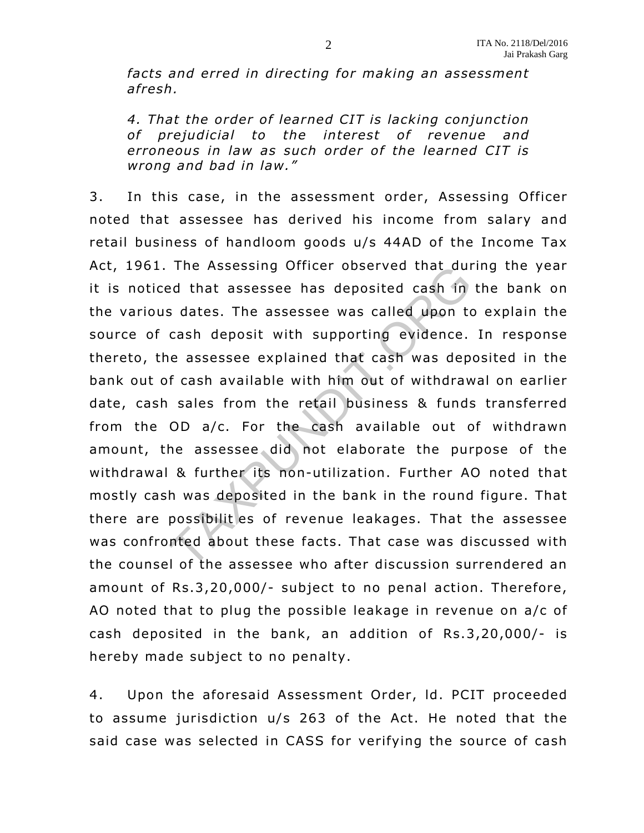facts and erred in directing for making an assessment *afresh.* 

4. That the order of learned CIT is lacking conjunction *of pre judicial to the interest of revenue and*  erroneous in law as such order of the learned CIT is *wrong and bad in law ."* 

3. In this case, in the assessment order, Assessing Officer noted that assessee has derived his income from salary and retail business of handloom goods u/s 44AD of the Income Tax Act, 1961. The Assessing Officer observed that during the year it is noticed that assessee has deposited cash in the bank on the various dates. The assessee was called upon to explain the source of cash deposit with supporting evidence. In response thereto, the assessee explained that cash was deposited in the bank out of cash available with him out of withdrawal on earlier date, cash sales from the retail business & funds transferred from the OD a/c. For the cash available out of withdrawn amount, the assessee did not elaborate the purpose of the withdrawal & further its non-utilization. Further AO noted that mostly cash was deposited in the bank in the round figure. That there are possibilit es of revenue leakages. That the assessee was confronted about these facts. That case was discussed with the counsel of the assessee who after discussion surrendered an amount of Rs.3,20,000/- subject to no penal action. Therefore, AO noted that to plug the possible leakage in revenue on  $a/c$  of cash deposited in the bank, an addition of  $Rs.3,20,000$ /- is hereby made subject to no penalty. The Assessing Officer observed that dured that assessee has deposited cash in<br>s dates. The assessee was called upon to<br>cash deposit with supporting evidence.<br>ne assessee explained that cash was dep<br>f cash available with hi

4. Upon the aforesaid Assessment Order, ld. PCIT proceeded to assume jurisdiction u/s 263 of the Act. He noted that the said case was selected in CASS for verifying the source of cash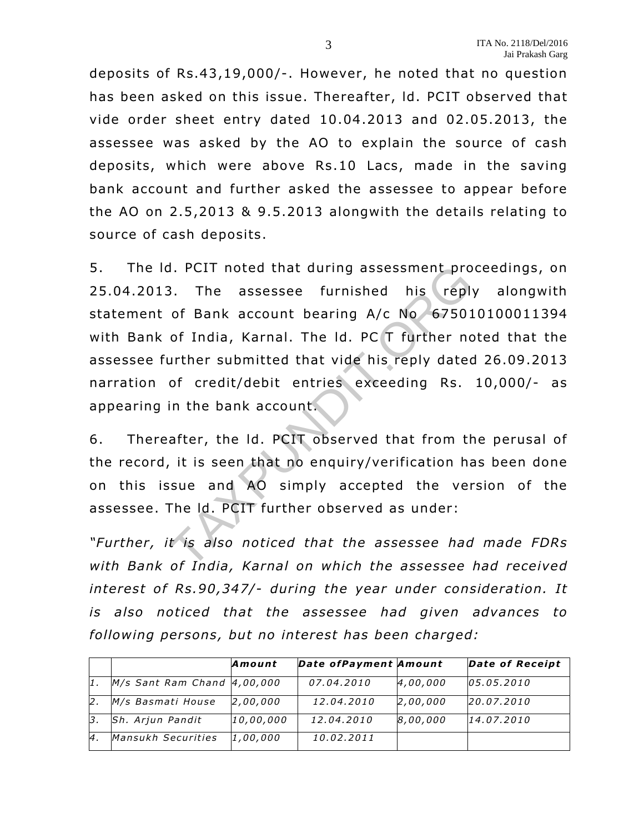deposits of Rs.43 ,19,000/-. However, he noted that no question has been asked on this issue. Thereafter, ld. PCIT observed that vide order sheet entry dated 10.04.2013 and 02 .05.2013, the assessee was asked by the AO to explain the source of cash deposits, which were above Rs.10 Lacs, made in the saving bank account and further asked the assessee to appear before the AO on 2.5 ,2013 & 9.5.2013 alongwith the details relating to source of cash deposits.

5. The ld. PCIT noted that during assessment proceedings, on 25.04.2013. The assessee furnished his reply alongwith statement of Bank account bearing A/c No 675010100011394 with Bank of India, Karnal. The Id. PC T further noted that the assessee further submitted that vide his reply dated 26.09 .2013 narration of credit/debit entries exceeding Rs. 10,000/- as appearing in the bank account. d. PCIT noted that during assessment pro<br>3. The assessee furnished his replum<br>of Bank account bearing A/c No 67501<br>of India, Karnal. The Id. PC T further no<br>urther submitted that vide his reply dated<br>of credit/debit entrie

6. Thereafter, the Id. PCIT observed that from the perusal of the record, it is seen that no enquiry/verification has been done on this issue and AO simply accepted the version of the assessee . The ld. PCIT further observed as under:

*"Further , it is also noticed that the assessee had made FDRs*  with Bank of India, Karnal on which the assessee had received interest of Rs.90,347/- during the year under consideration. It *is also noticed that the assessee had given advances to following persons, but no interest has been charged:* 

|                |                                 | Amount    | Date of Payment Amount |          | <b>Date of Receipt</b> |
|----------------|---------------------------------|-----------|------------------------|----------|------------------------|
|                | $M/s$ Sant Ram Chand $4,00,000$ |           | 07.04.2010             | 4,00,000 | 05.05.2010             |
| 12.            | M/s Basmati House               | 2,00,000  | 12.04.2010             | 2,00,000 | 20.07.2010             |
| 3.             | Sh. Arjun Pandit                | 10,00,000 | 12.04.2010             | 8,00,000 | 14.07.2010             |
| $\overline{4}$ | Mansukh Securities              | 1,00,000  | 10.02.2011             |          |                        |

3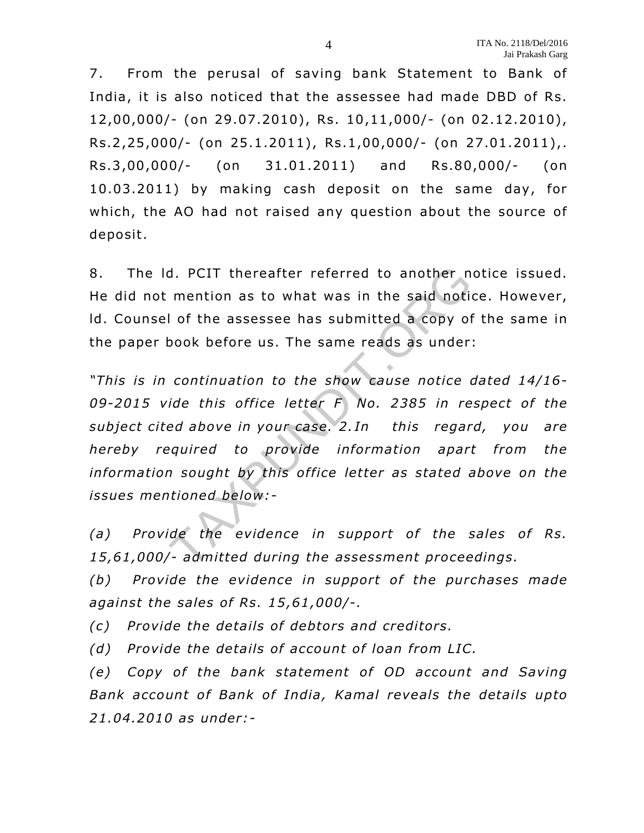7. From the perusal of saving bank Statement to Bank of India, it is also noticed that the assessee had made DBD of Rs. 12,00,000/- (on 29.07.2010), Rs. 10,11,000/- (on 02.12.2010), Rs.2 ,25,000/- (on 25.1 .2011), Rs.1,00 ,000/- (on 27.01.2011),. Rs.3 ,00,000/- (on 31.01 .2011) and Rs.80,000/- (on 10.03.2011) by making cash deposit on the same day, for which, the AO had not raised any question about the source of deposit.

8. The ld. PCIT thereafter referred to another notice issued. He did not mention as to what was in the said notice. However, Id. Counsel of the assessee has submitted a copy of the same in the paper book before us. The same reads as under:

*"This is in continuation to the show cause notice dated 14/16-* 09-2015 vide this office letter F No. 2385 in respect of the *subject cited above in your case. 2. In this regard, you are hereby required to provide information apart from the*  information sought by this office letter as stated above on the *issues mentioned below:*  d. PCIT thereafter referred to another n<br>mention as to what was in the said notion<br>of the assessee has submitted a copy of<br>book before us. The same reads as under<br>continuation to the show cause notice of<br>ide this office le

*(a) Provide the evidence in support of the sales of Rs. 15,61,000/- admitted during the assessment proceedings.* 

*(b) Provide the evidence in support of the purchases made against the sales of Rs. 15 ,61,000/-.* 

*(c) Provide the details of debtors and creditors.* 

*(d) Provide the details of account of loan from LIC.* 

*(e)* Copy of the bank statement of OD account and Saving Bank account of Bank of India, Kamal reveals the details upto *21.04.2010 as under:-*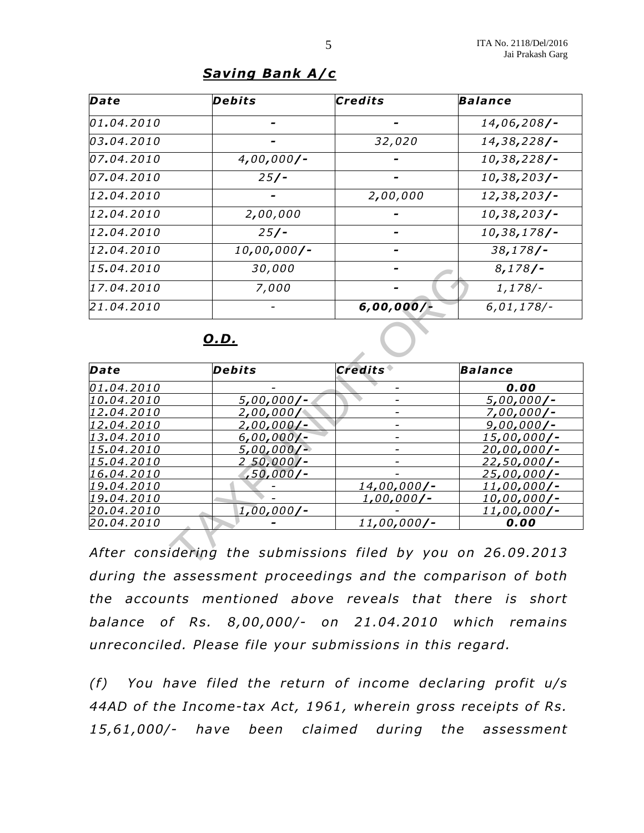#### *Saving Bank A/c*

| Date       | Debits        | Credits      | <b>Balance</b> |
|------------|---------------|--------------|----------------|
| 01.04.2010 |               |              | $14,06,208/-$  |
| 03.04.2010 |               | 32,020       | $14,38,228/$ - |
| 07.04.2010 | $4,00,000/-$  |              | $10,38,228/$ - |
| 07.04.2010 | $25/$ -       |              | $10,38,203/$ - |
| 12.04.2010 |               | 2,00,000     | $12,38,203/$ - |
| 12.04.2010 | 2,00,000      |              | $10,38,203/$ - |
| 12.04.2010 | $25/$ -       |              | $10,38,178/$ - |
| 12.04.2010 | $10,00,000/-$ |              | $38,178/$ -    |
| 15.04.2010 | 30,000        |              | $8,178/$ -     |
| 17.04.2010 | 7,000         |              | $1,178/-$      |
| 21.04.2010 |               | $6,00,000/-$ | $6,01,178$ /-  |

| 15.04.2010 | 30,000           |                   | 8,178/             |
|------------|------------------|-------------------|--------------------|
| 17.04.2010 | 7,000            |                   | $1,178/-$          |
| 21.04.2010 |                  | $6,00,000/$ -     | $6,01,178$ /-      |
|            | <u>O.D.</u>      |                   |                    |
| Date       | Debits           | <b>Credits</b>    | <b>Balance</b>     |
| 01.04.2010 |                  |                   | 0.00               |
| 10.04.2010 | $5,00,000/-$     |                   | $5,00,000/-$       |
| 12.04.2010 | 2,00,000/        |                   | $7,00,000/-$       |
| 12.04.2010 | $2,00,000/-$     |                   | $9,00,000/-$       |
| 13.04.2010 | $6,00,000/-$     |                   | 15,00,000/-        |
| 15.04.2010 | 5,00,000/        |                   | 20,00,000/-        |
| 15.04.2010 | <u>250,000/-</u> |                   | <u>22,50,000/-</u> |
| 16.04.2010 | ,50,000/-        |                   | 25,00,000/-        |
| 19.04.2010 |                  | 14,00,000/-       | <u>11,00,000/-</u> |
| 19.04.2010 |                  | <u>1,00,000/-</u> | 10,00,000/-        |
| 20.04.2010 | $1,00,000/-$     |                   | 11,00,000/-        |
|            |                  | $11,00,000/-$     | 0.00               |

*After considering the submissions filed by you on 26.09 .2013 during the assessment proceedings and the comparison of both the accounts mentioned above reveals that there is short balance of Rs. 8,00 ,000/- on 21.04.2010 which remains unreconciled. Please file your submissions in this regard.* 

*(f) You have filed the return of income declaring profit u/s*  44AD of the Income-tax Act, 1961, wherein gross receipts of Rs. *15,61,000/- have been claimed during the assessment*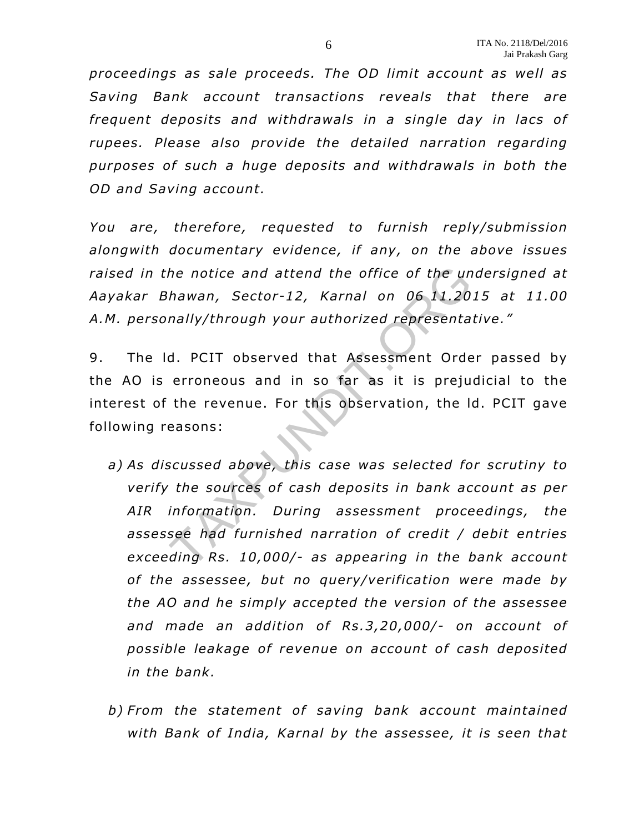*proceedings as sale proceeds. The OD limit account as well as Saving Bank account transactions reveals that there are frequent deposits and withdrawals in a single day in lacs of rupees. Please also provide the detailed narration regarding purposes of such a huge deposits and withdrawals in both the OD and Saving account.* 

*You are, therefore, requested to furnish reply/submission alongwith documentary evidence, if any, on the above issues raised in the notice and attend the of fice of the undersigned at Aayakar Bhawan, Sector-12, Karnal on 06 11.2015 at 11.00 A.M. personally/through your authorized representative ."* 

9. The ld. PCIT observed that Assessment Order passed by the AO is erroneous and in so far as it is prejudicial to the interest of the revenue. For this observation, the ld. PCIT gave following reasons:

- *a) As discussed above, this case was selected for scrutiny to verify the sources of cash deposits in bank account as per AIR information. During assessment proceedings, the assessee had furnished narration of credit / debit entries exceeding Rs. 10,000/- as appearing in the bank account of the assessee , but no query/verification were made by the AO and he simply accepted the version of the assessee and made an addition of Rs.3,20,000/- on account of*  possible leakage of revenue on account of cash deposited in the bank. the notice and attend the office of the un<br>hawan, Sector-12, Karnal on 06 11.20<br>mally/through your authorized representa<br>d. PCIT observed that Assessment Orde<br>erroneous and in so far as it is preju<br>the revenue. For this ob
- b) From the statement of saving bank account maintained *with Bank of India, Karnal by the assessee, it is seen that*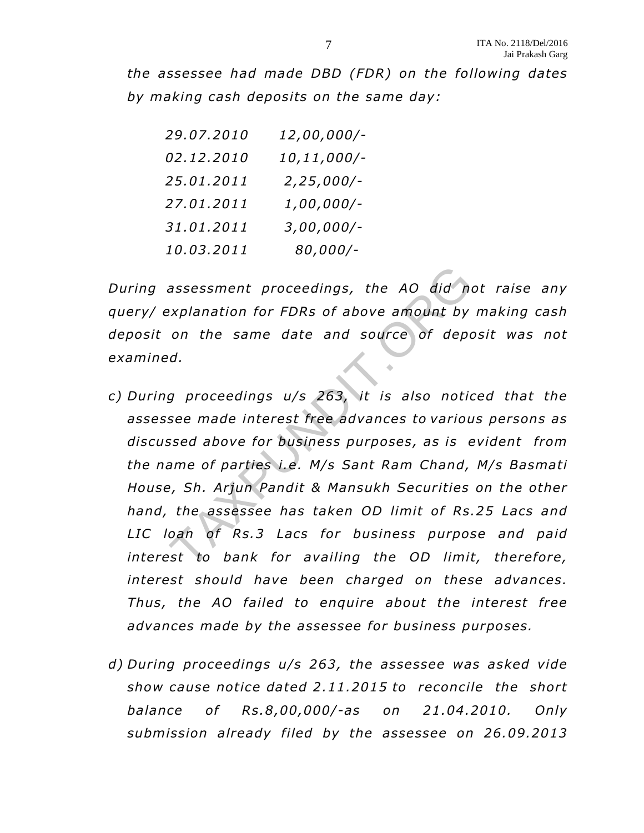*the assessee had made DBD (FDR) on the following dates by making cash deposits on the same day:* 

| 29.07.2010 | 12,00,000/-  |
|------------|--------------|
| 02.12.2010 | 10,11,000/-  |
| 25.01.2011 | $2,25,000/-$ |
| 27.01.2011 | 1,00,000/-   |
| 31.01.2011 | $3,00,000/-$ |
| 10.03.2011 | 80,000/-     |

*During assessment proceedings, the AO did not raise any query/ explanation for FDRs of above amount by making cash deposit on the same date and source of deposit was not examined.* 

- *c) During proceedings u/s 263, it is also noticed that the assessee made interest free advances to various persons as discussed above for business purposes, as is evident from the name of parties i.e . M/s Sant Ram Chand, M/s Basmati House, Sh. Ar jun Pandit & Mansukh Securities on the other hand, the assessee has taken OD limit of Rs.25 Lacs and*  LIC loan of Rs.3 Lacs for business purpose and paid interest to bank for availing the OD limit, therefore, *interest should have been charged on these advances. Thus, the AO failed to enquire about the interest free advances made by the assessee for business purposes.*  assessment proceedings, the AO did nexplanation for FDRs of above amount by<br>on the same date and source of deponent<br>on the same date and source of deponent<br>of the same date and source of deponent<br>see made interest free adv
- *d) During proceedings u/s 263, the assessee was asked vide show cause notice dated 2 .11.2015 to reconcile the short balance of Rs.8 ,00,000/-as on 21.04.2010. Only submission already filed by the assessee on 26.09.2013*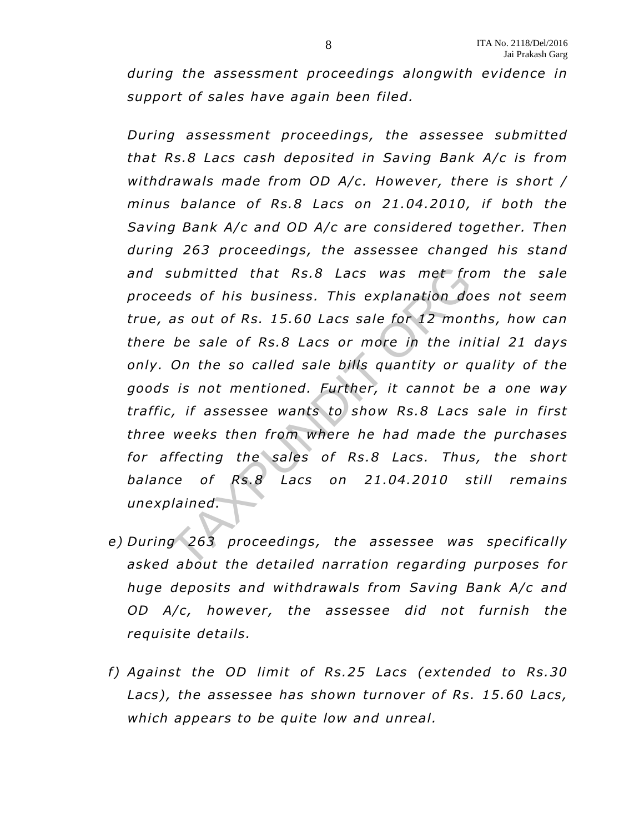*during the assessment proceedings alongwith evidence in support of sales have again been filed.* 

*During assessment proceedings, the assessee submitted that Rs.8 Lacs cash deposited in Saving Bank A/c is from withdrawals made from OD A/c. However , there is short / minus balance of Rs.8 Lacs on 21.04.2010, if both the Saving Bank A/c and OD A/c are considered together. Then during 263 proceedings, the assessee changed his stand and submitted that Rs.8 Lacs was met from the sale proceeds of his business. This explanation does not seem true, as out of Rs. 15.60 Lacs sale for 12 months, how can there be sale o f Rs.8 Lacs or more in the initial 21 days only. On the so called sale bills quantity or quality of the goods is not mentioned. Further, it cannot be a one way tra ffic, if assessee wants to show Rs.8 Lacs sale in first three weeks then from where he had made the purchases for a ffecting the sales of Rs.8 Lacs. Thus, the short*  balance of Rs.8 Lacs on 21.04.2010 still remains *unexplained.*  submitted that Rs.8 Lacs was met freeds of his business. This explanation do<br>as out of Rs. 15.60 Lacs sale for 12 mon<br>be sale of Rs.8 Lacs or more in the in.<br>On the so called sale bills quantity or q<br>is not mentioned. Furt

- *e) During 263 proceedings, the assessee was specifically asked about the detailed narration regarding purposes for huge deposits and withdrawals from Saving Bank A/c and OD A/c, however, the assessee did not furnish the requisite details.*
- *f) Against the OD limit of Rs.25 Lacs (extended to Rs.30* Lacs), the assessee has shown turnover of Rs. 15.60 Lacs, *which appears to be quite low and unreal.*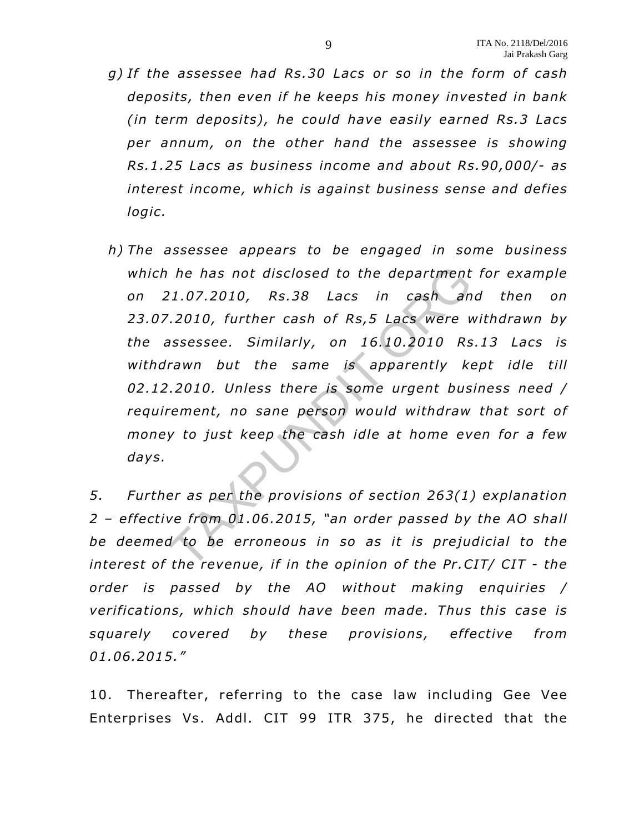- *g) If the assessee had Rs.30 Lacs or so in the form of cash deposits, then even if he keeps his money invested in bank (in term deposits), he could have easily earned Rs.3 Lacs per annum, on the other hand the assessee is showing Rs.1 .25 Lacs as business income and about Rs.90,000/- as interest income, which is against business sense and defies logic.*
- *h) The assessee appears to be engaged in some business which he has not disclosed to the department for example on 21 .07.2010, Rs.38 Lacs in cash and then on*  23.07.2010, further cash of Rs, 5 Lacs were withdrawn by *the assessee . Similarly, on 16.10.2010 Rs.13 Lacs is withdrawn but the same is apparently kept idle till 02.12.2010. Unless there is some urgent business need /*  requirement, no sane person would withdraw that sort of *money to just keep the cash idle at home even for a few days.*  he has not disclosed to the department<br>
2.1.07.2010, Rs.38 Lacs in cash and<br>
2.2010, further cash of Rs,5 Lacs were verses<br>
1.2010, further cash of Rs,5 Lacs were verses<br>
1.2010. Unless there is some urgent bus<br>
2.2010. Un

*5. Further as per the provisions of section 263(1) explanation 2 – effective from 01.06 .2015, "an order passed by the AO shall*  be deemed to be erroneous in so as it is prejudicial to the *interest of the revenue, if in the opinion of the Pr .CIT/ CIT - the order is passed by the AO without making enquiries / verifications, which should have been made . Thus this case is squarely covered by these provisions, effective from 01.06.2015."* 

10. Thereafter, referring to the case law including Gee Vee Enterprises Vs. Addl. CIT 99 ITR 375, he directed that the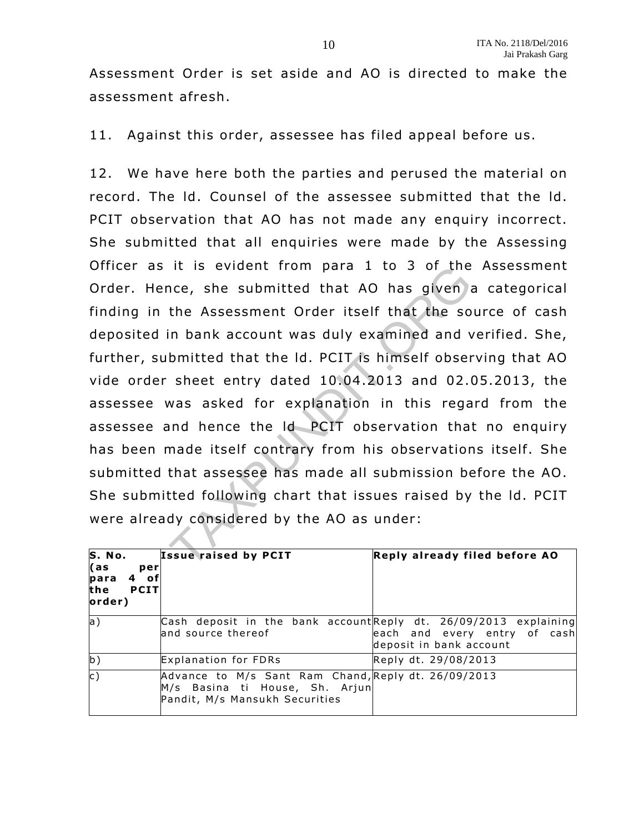Assessment Order is set aside and AO is directed to make the assessment afresh.

11. Against this order, assessee has filed appeal before us.

12. We have here both the parties and perused the material on record. The ld. Counsel of the assessee submitted that the ld. PCIT observation that AO has not made any enquiry incorrect. She submitted that all enquiries were made by the Assessing Officer as it is evident from para 1 to 3 of the Assessment Order. Hence, she submitted that AO has given a categorical finding in the Assessment Order itself that the source of cash deposited in bank account was duly examined and verified. She, further, submitted that the Id. PCIT is himself observing that AO vide order sheet entry dated 10.04.2013 and 02 .05.2013, the assessee was asked for explanation in this regard from the assessee and hence the ld PCIT observation that no enquiry has been made itself contrary from his observations itself. She submitted that assessee has made all submission before the AO. She submitted following chart that issues raised by the ld. PCIT were already considered by the AO as under: It is evident from para I to 3 or the<br>nce, she submitted that AO has given a<br>the Assessment Order itself that the so<br>in bank account was duly examined and v<br>bmitted that the Id. PCIT is himself obser<br>sheet entry dated 10.0

| S. No.<br>l as<br>per<br>4 ofl<br>para<br><b>PCIT</b><br>the<br>order) | <b>Issue raised by PCIT</b>                                                                                              | Reply already filed before AO                           |
|------------------------------------------------------------------------|--------------------------------------------------------------------------------------------------------------------------|---------------------------------------------------------|
| a                                                                      | Cash deposit in the bank account Reply dt. 26/09/2013 explaining<br>land source thereof                                  | each and every entry of cash<br>deposit in bank account |
| $ {\bf b}\rangle$                                                      | Explanation for FDRs                                                                                                     | Reply dt. 29/08/2013                                    |
| $\mathsf{c}$ )                                                         | Advance to M/s Sant Ram Chand, Reply dt. 26/09/2013<br>M/s Basina ti House, Sh. Arjun <br>Pandit, M/s Mansukh Securities |                                                         |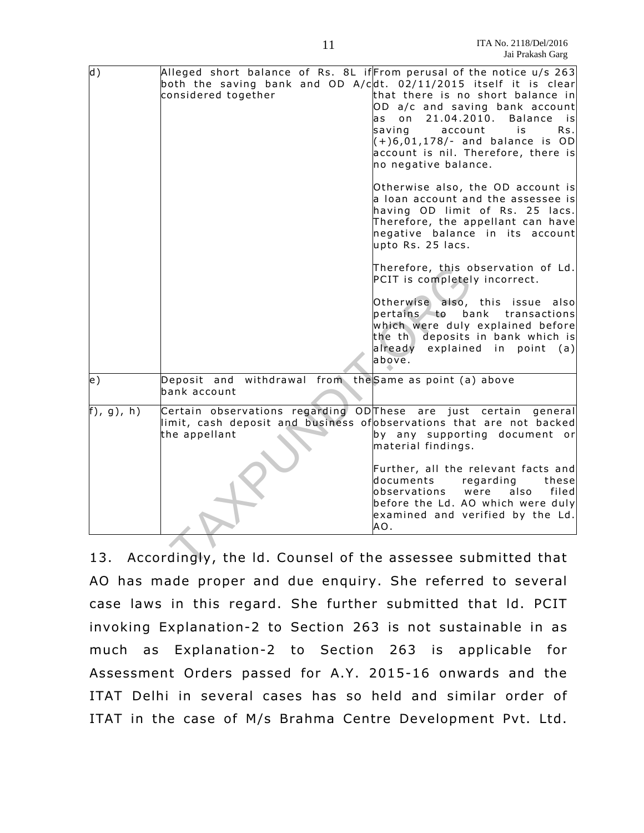| $\mathsf{d}$ ) | Alleged short balance of Rs. 8L if From perusal of the notice u/s 263<br>both the saving bank and OD A/cdt. 02/11/2015 itself it is clear<br>considered together<br>that there is no short balance in<br>OD a/c and saving bank account |
|----------------|-----------------------------------------------------------------------------------------------------------------------------------------------------------------------------------------------------------------------------------------|
|                | 21.04.2010.<br>o n<br>Balance is<br>a s<br>saving<br>account<br>Rs.<br>is<br>$(+)6,01,178$ /- and balance is OD<br>account is nil. Therefore, there is<br>no negative balance.                                                          |
|                | Otherwise also, the OD account is<br>a loan account and the assessee is<br>having OD limit of Rs. 25 lacs.<br>Therefore, the appellant can have<br>negative balance in its account<br>upto Rs. 25 lacs.                                 |
|                | Therefore, this observation of Ld.<br>PCIT is completely incorrect.                                                                                                                                                                     |
|                | Otherwise also, this issue<br>alsol<br>pertains to bank<br>transactions<br>which were duly explained before<br>the th deposits in bank which is<br>already explained in point<br>(a)<br>above.                                          |
| e)             | Deposit and withdrawal from the Same as point (a) above<br>bank account                                                                                                                                                                 |
| (f), g), h)    | Certain observations regarding ODThese are just certain<br>qeneral<br>limit, cash deposit and business of observations that are not backed<br>the appellant<br>by any supporting document or<br>material findings.                      |
|                | Further, all the relevant facts and<br>documents<br>regarding<br>these<br>lobservations<br>were<br>also<br>filed<br>before the Ld. AO which were duly<br>examined and verified by the Ld.<br>AO.                                        |
|                | 13. Accordingly, the Id. Counsel of the assessee submitted that                                                                                                                                                                         |

13. Accordingly, the ld. Counsel of the assessee submitted that AO has made proper and due enquiry. She referred to several case laws in this regard. She further submitted that ld. PCIT invoking Explanation-2 to Section 263 is not sustainable in as much as Explanation-2 to Section 263 is applicable for Assessment Orders passed for A.Y. 2015-16 onwards and the ITAT Delhi in several cases has so held and similar order of ITAT in the case of M/s Brahma Centre Development Pvt. Ltd.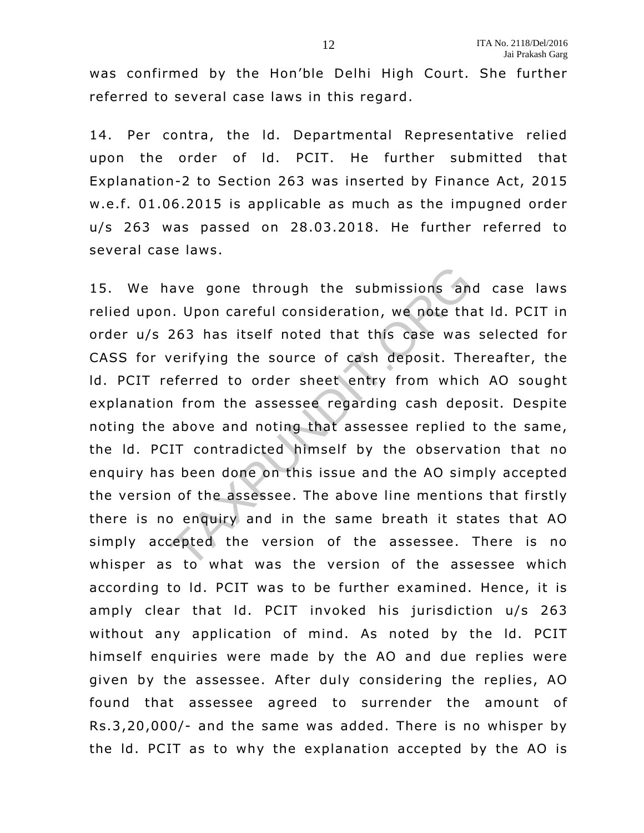was confirmed by the Hon'ble Delhi High Court. She further referred to several case laws in this regard.

14. Per contra, the Id. Departmental Representative relied upon the order of Id. PCIT. He further submitted that Explanation-2 to Section 263 was inserted by Finance Act, 2015 w.e .f. 01.06.2015 is applicable as much as the impugned order u/s 263 was passed on 28.03.2018. He further referred to several case laws.

15. We have gone through the submissions and case laws relied upon. Upon careful consideration, we note that ld. PCIT in order u/s 263 has itself noted that this case was selected for CASS for verifying the source of cash deposit. Thereafter, the ld. PCIT referred to order sheet entry from which AO sought explanation from the assessee regarding cash deposit. Despite noting the above and noting that assessee replied to the same , the ld. PCIT contradicted himself by the observation that no enquiry has been done on this issue and the AO simply accepted the version of the assessee . The above line mentions that firstly there is no enquiry and in the same breath it states that AO simply accepted the version of the assessee. There is no whisper as to what was the version of the assessee which according to Id. PCIT was to be further examined. Hence, it is amply clear that ld. PCIT invoked his jurisdiction u/s 263 without any application of mind. As noted by the ld. PCIT himself enquiries were made by the AO and due replies were given by the assessee. After duly considering the replies, AO found that assessee agreed to surrender the amount of Rs.3 ,20,000/- and the same was added. There is no whisper by the ld. PCIT as to why the explanation accepted by the AO is ave gone through the submissions and<br>1. Upon careful consideration, we note tha<br>263 has itself noted that this case was<br>verifying the source of cash deposit. The<br>eferred to order sheet entry from which<br>in from the assessee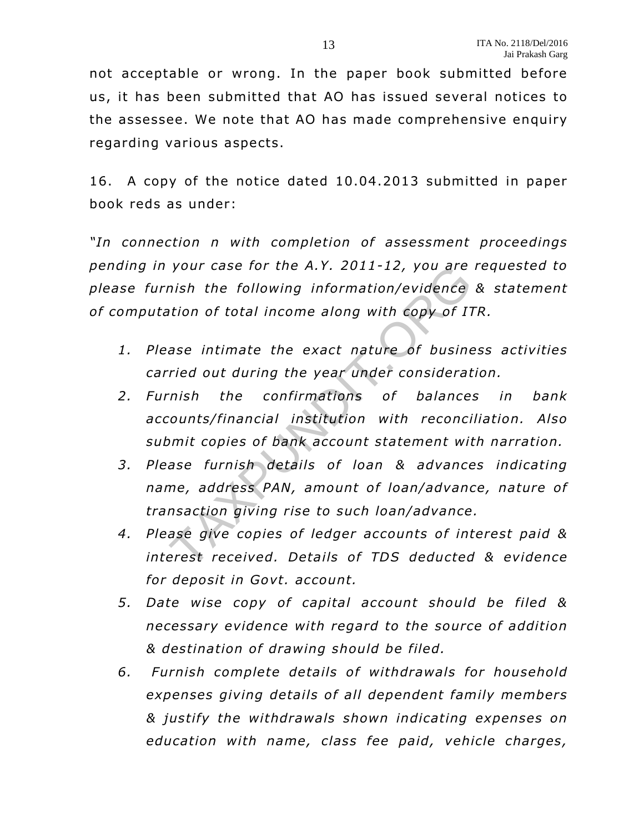not acceptable or wrong. In the paper book submitted before us, it has been submitted that AO has issued several notices to the assessee. We note that AO has made comprehensive enquiry regarding various aspects.

16. A copy of the notice dated 10.04.2013 submitted in paper book reds as under:

*"In connection n with completion of assessment proceedings pending in your case for the A.Y . 2011-12, you are requested to please furnish the following in formation/evidence & statement*  of computation of total income along with copy of ITR.

- *1. Please intimate the exact nature of business activities carried out during the year under consideration.*
- *2. Furnish the confirmations of balances in bank accounts/financial institution with reconciliation. Also*  submit copies of bank account statement with narration. your case for the A.Y. 2011-12, you are<br>mish the following information/evidence<br>ation of total income along with copy of IT<br>ase intimate the exact nature of busine<br>ried out during the year under considerat<br>mish the confirm
- *3. Please furnish details of loan & advances indicating* name, address PAN, amount of loan/advance, nature of *transaction giving rise to such loan/advance .*
- 4. Please give copies of ledger accounts of interest paid & *interest received. Details of TDS deducted & evidence for deposit in Govt. account.*
- *5. Date wise copy of capital account should be filed & necessary evidence with regard to the source of addition & destination of drawing should be filed.*
- 6. Furnish complete details of withdrawals for household *expenses giving details of all dependent family members & justify the withdrawals shown indicating expenses on education with name, class fee paid, vehicle charges,*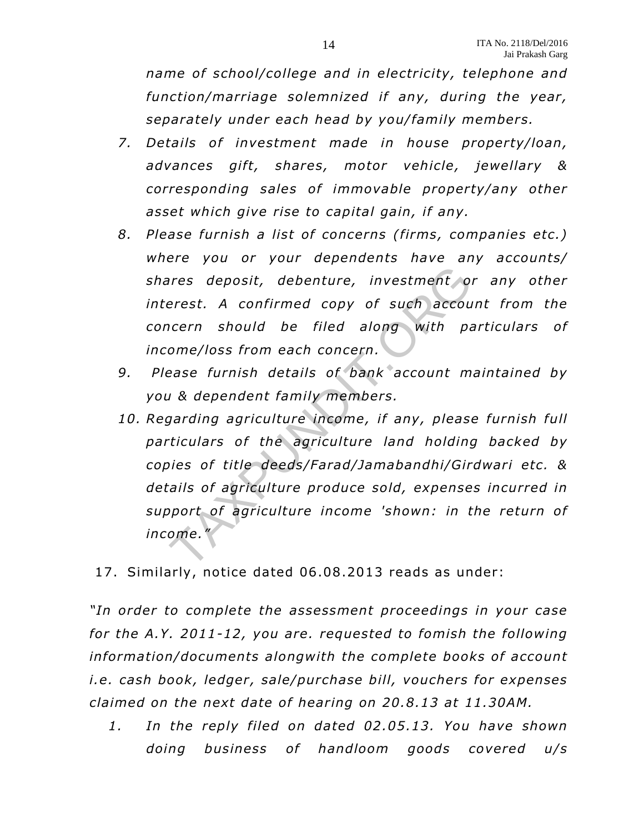*name of school/college and in electricity, telephone and function/marriage solemnized if any, during the year, separately under each head by you/family members.* 

- 7. Details of investment made in house property/loan, advances gift, shares, motor vehicle, jewellary & *corresponding sales of immovable property/any other asset which give rise to capital gain, if any.*
- *8. Please furnish a list of concerns (firms, companies etc.) where you or your dependents have any accounts/ shares deposit, debenture, investment or any other interest. A confirmed copy of such account from the concern should be filed along with particulars of income/loss from each concern.*
- *9. Please furnish details of bank account maintained by you & dependent family members.*
- 10. Regarding agriculture income, if any, please furnish full particulars of the agriculture land holding backed by *copies of title deeds/Farad/Jamabandhi/Girdwari etc. & details of agriculture produce sold, expenses incurred in support of agriculture income 'shown: in the return of income."*  ares deposit, debenture, investment of<br>erest. A confirmed copy of such accouncern should be filed along with pa<br>ome/loss from each concern.<br>ease furnish details of bank account m<br>ase furnish details of bank account m<br>as de
- 17. Similarly, notice dated 06.08 .2013 reads as under:

*"In order to complete the assessment proceedings in your case*  for the A.Y. 2011-12, you are. requested to fomish the following *in formation/documents alongwith the complete books of account i.e.* cash book, ledger, sale/purchase bill, vouchers for expenses *claimed on the next date of hearing on 20.8 .13 at 11.30AM.* 

*1. In the reply filed on dated 02 .05.13. You have shown doing business of handloom goods covered u/s*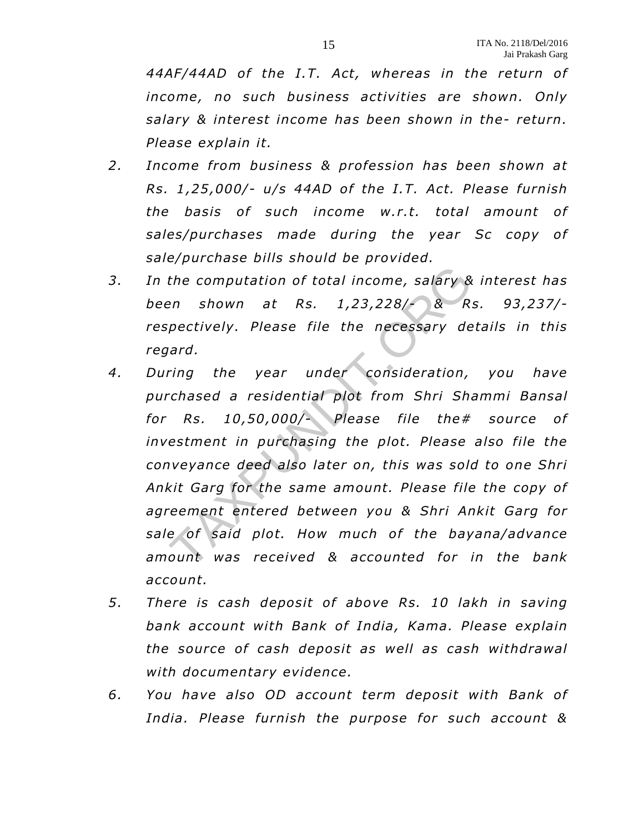44AF/44AD of the I.T. Act, whereas in the return of *income, no such business activities are shown. Only salary & interest income has been shown in the- return. Please explain it.* 

- *2. Income from business & profession has been shown at Rs. 1 ,25 ,000/- u/s 44AD o f the I.T. Act. Please furnish*  the basis of such income w.r.t. total amount of sales/purchases made during the year Sc copy of *sale/purchase bills should be provided.*
- *3. In the computation of total income, salary & interest has been shown at Rs. 1,23 ,228/- & Rs. 93 ,237/ respectively. Please file the necessary details in this regard.*
- *4. During the year under consideration, you have purchased a residential plot from Shri Shammi Bansal for Rs. 10,50 ,000/- Please file the# source of investment in purchasing the plot. Please also file the conveyance deed also later on, this was sold to one Shri Ankit Garg for the same amount. Please file the copy of agreement entered between you & Shri Ankit Garg for*  sale of said plot. How much of the bayana/advance *amount was received & accounted for in the bank account.*  The computation of total income, salary &<br>
en shown at Rs. 1,23,228/- & R.<br>
pectively. Please file the necessary de<br>
ard.<br>
ring the year under consideration,<br>
chased a residential plot from Shri Sh.<br>
Rs. 10,50,000/- Please
- *5. There is cash deposit of above Rs. 10 lakh in saving*  bank account with Bank of India, Kama. Please explain *the source of cash deposit as well as cash withdrawal with documentary evidence.*
- *6. You have also OD account term deposit with Bank of India . Please furnish the purpose for such account &*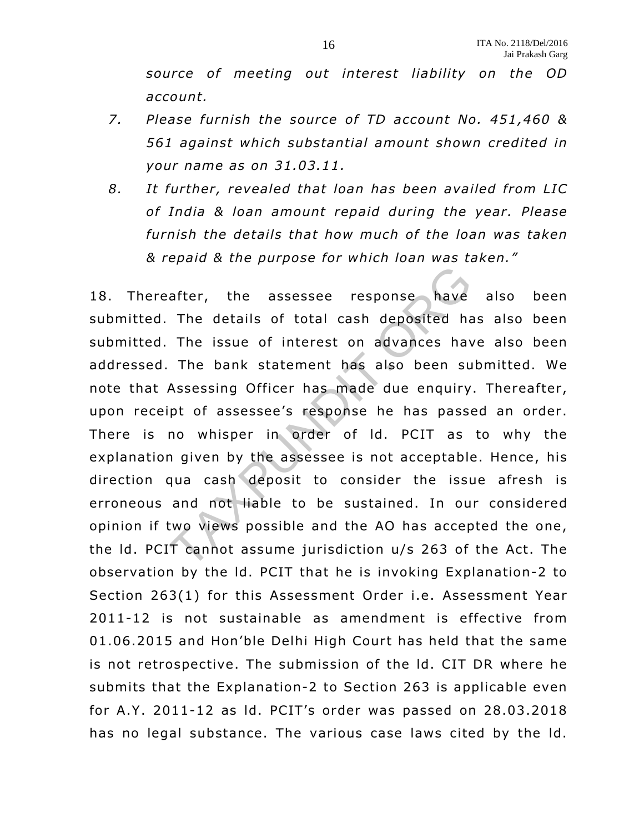*source of meeting out interest liability on the OD account.* 

- *7. Please furnish the source of TD account No. 451 ,460 & 561 against which substantial amount shown credited in your name as on 31.03.11 .*
- *8. It further , revealed that loan has been availed from LIC of India & loan amount repaid during the year. Please furnish the details that how much of the loan was taken & repaid & the purpose for which loan was taken."*

18. Thereafter , the assessee response have also been submitted. The details of total cash deposited has also been submitted. The issue of interest on advances have also been addressed. The bank statement has also been submitted. We note that Assessing Officer has made due enquiry. Thereafter, upon receipt of assessee's response he has passed an order. There is no whisper in order of ld. PCIT as to why the explanation given by the assessee is not acceptable. Hence, his direction qua cash deposit to consider the issue afresh is erroneous and not liable to be sustained. In our considered opinion if two views possible and the AO has accepted the one, the ld. PCIT cannot assume jurisdiction u/s 263 of the Act. The observation by the ld. PCIT that he is invoking Explanation-2 to Section 263(1) for this Assessment Order i.e. Assessment Year 2011-12 is not sustainable as amendment is effective from 01.06.2015 and Hon'ble Delhi High Court has held that the same is not retrospective. The submission of the ld. CIT DR where he submits that the Explanation-2 to Section 263 is applicable even for A.Y. 2011-12 as Id. PCIT's order was passed on 28.03.2018 has no legal substance. The various case laws cited by the ld. after, the assessee response have<br>The details of total cash deposited has<br>The issue of interest on advances have<br>The bank statement has also been su<br>Assessing Officer has made due enquiry<br>pt of assessee's response he has p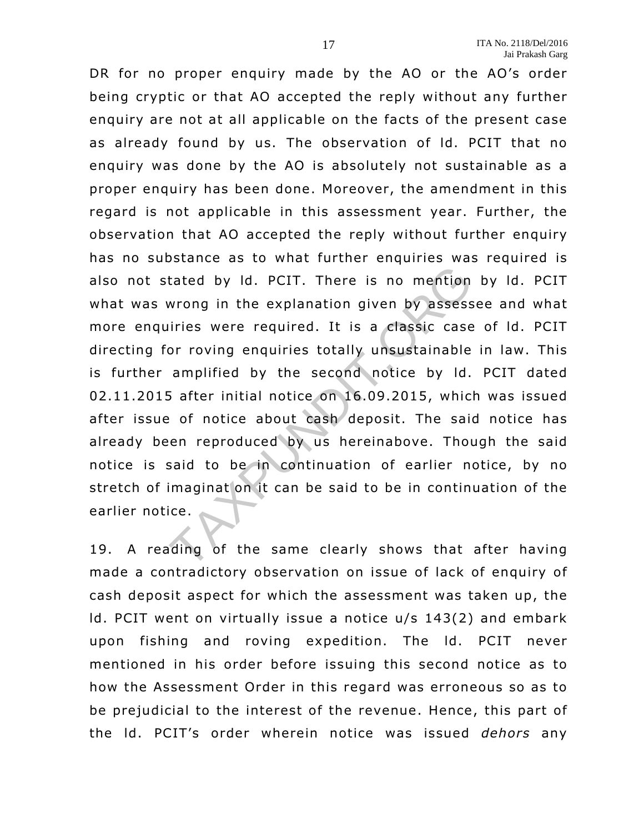DR for no proper enquiry made by the AO or the AO's order being cryptic or that AO accepted the reply without any further enquiry are not at all applicable on the facts of the present case as already found by us. The observation of Id. PCIT that no enquiry was done by the AO is absolutely not sustainable as a proper enquiry has been done. Moreover, the amendment in this regard is not applicable in this assessment year. Further, the observation that AO accepted the reply without further enquiry has no substance as to what further enquiries was required is also not stated by Id. PCIT. There is no mention by Id. PCIT what was wrong in the explanation given by assessee and what more enquiries were required. It is a classic case of ld. PCIT directing for roving enquiries totally unsustainable in law. This is further amplified by the second notice by ld. PCIT dated 02.11.2015 a fter initial notice on 16.09.2015, which was issued after issue of notice about cash deposit. The said notice has already been reproduced by us hereinabove. Though the said notice is said to be in continuation of earlier notice, by no stretch of imaginat on it can be said to be in continuation of the earlier notice . tated by Id. PCIT. There is no mention<br>wrong in the explanation given by assess<br>uiries were required. It is a classic case<br>or roving enquiries totally unsustainable<br>amplified by the second notice by Id.<br>5 after initial not

19. A reading of the same clearly shows that after having made a contradictory observation on issue of lack of enquiry of cash deposit aspect for which the assessment was taken up, the ld. PCIT went on virtually issue a notice u/s 143(2) and embark upon fishing and roving expedition. The ld. PCIT never mentioned in his order before issuing this second notice as to how the Assessment Order in this regard was erroneous so as to be prejudicial to the interest of the revenue. Hence, this part of the ld. PCIT's order wherein notice was issued *dehors* any